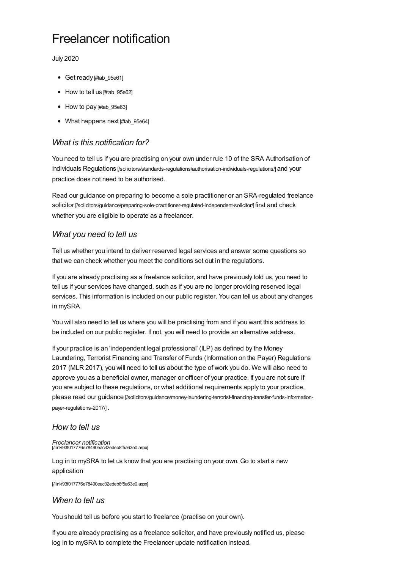# Freelancer notification

July 2020

- Get ready [#tab 95e61]
- How to tell us [\[#tab\\_95e62\]](#page-0-1)
- How to pay [#tab 95e63]
- What happens next [#tab 95e64]

### <span id="page-0-0"></span>*What is this notification for?*

You need to tell us if you are practising on your own under rule 10 of the SRA Authorisation of Individuals Regulations [\[/solicitors/standards-regulations/authorisation-individuals-regulations/\]](https://www.sra.org.uk/solicitors/standards-regulations/authorisation-individuals-regulations/) and your practice does not need to be authorised.

Read our guidance on preparing to become a sole practitioner or an SRA-regulated freelance solicitor [\[/solicitors/guidance/preparing-sole-practitioner-regulated-independent-solicitor/\]](https://www.sra.org.uk/solicitors/guidance/preparing-sole-practitioner-regulated-independent-solicitor/) first and check whether you are eligible to operate as a freelancer.

#### *What you need to tell us*

Tell us whether you intend to deliver reserved legal services and answer some questions so that we can check whether you meet the conditions set out in the regulations.

If you are already practising as a freelance solicitor, and have previously told us, you need to tell us if your services have changed, such as if you are no longer providing reserved legal services. This information is included on our public register. You can tell us about any changes in mySRA.

You will also need to tell us where you will be practising from and if you want this address to be included on our public register. If not, you will need to provide an alternative address.

If your practice is an 'independent legal professional' (ILP) as defined by the Money Laundering, Terrorist Financing and Transfer of Funds (Information on the Payer) Regulations 2017 (MLR 2017), you will need to tell us about the type of work you do. We will also need to approve you as a beneficial owner, manager or officer of your practice. If you are not sure if you are subject to these regulations, or what additional requirements apply to your practice, please read our guidance [\[/solicitors/guidance/money-laundering-terrorist-financing-transfer-funds-information](https://www.sra.org.uk/solicitors/guidance/money-laundering-terrorist-financing-transfer-funds-information-payer-regulations-2017/)payer-regulations-2017/] .

#### <span id="page-0-1"></span>*How to tell us*

## *Freelancer notification* [/link/93f017776e78490eac32edeb8f5a63e0.aspx]

Log in to mySRA to let us know that you are practising on your own. Go to start a new application

[\[/link/93f017776e78490eac32edeb8f5a63e0.aspx\]](https://www.sra.org.uk/link/93f017776e78490eac32edeb8f5a63e0.aspx)

#### *When to tell us*

You should tell us before you start to freelance (practise on your own).

If you are already practising as a freelance solicitor, and have previously notified us, please log in to mySRA to complete the Freelancer update notification instead.